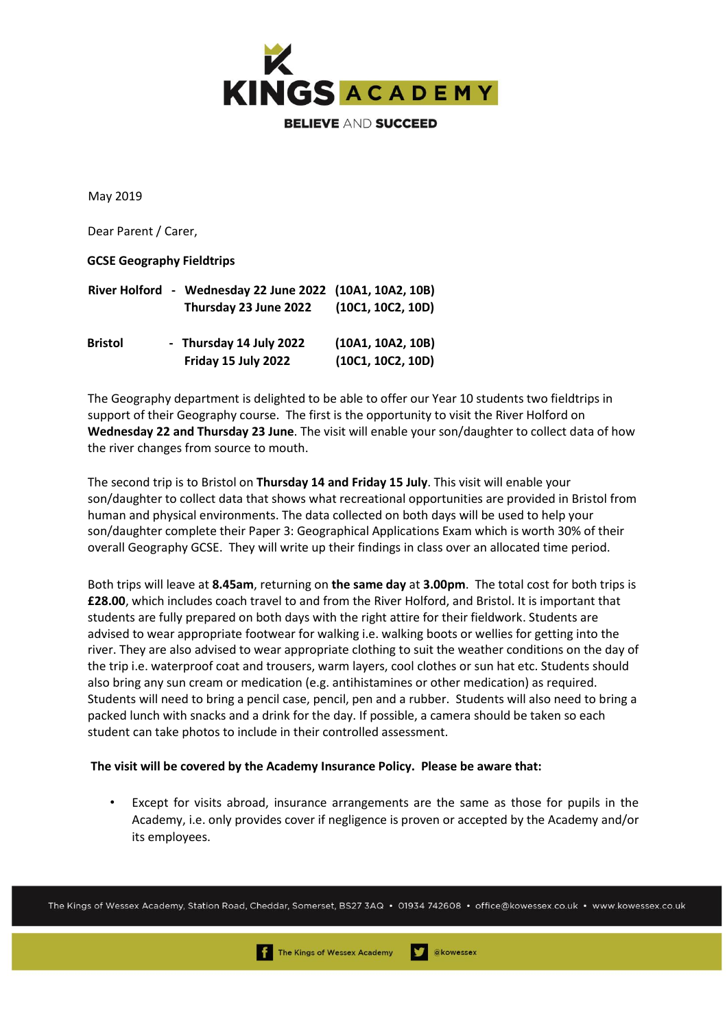

May 2019

Dear Parent / Carer,

## **GCSE Geography Fieldtrips**

|                | River Holford - Wednesday 22 June 2022 (10A1, 10A2, 10B) |                   |
|----------------|----------------------------------------------------------|-------------------|
|                | Thursday 23 June 2022                                    | (10C1, 10C2, 10D) |
| <b>Bristol</b> | - Thursday 14 July 2022                                  | (10A1, 10A2, 10B) |
|                | Friday 15 July 2022                                      | (10C1, 10C2, 10D) |

The Geography department is delighted to be able to offer our Year 10 students two fieldtrips in support of their Geography course. The first is the opportunity to visit the River Holford on **Wednesday 22 and Thursday 23 June**. The visit will enable your son/daughter to collect data of how the river changes from source to mouth.

The second trip is to Bristol on **Thursday 14 and Friday 15 July**. This visit will enable your son/daughter to collect data that shows what recreational opportunities are provided in Bristol from human and physical environments. The data collected on both days will be used to help your son/daughter complete their Paper 3: Geographical Applications Exam which is worth 30% of their overall Geography GCSE. They will write up their findings in class over an allocated time period.

Both trips will leave at **8.45am**, returning on **the same day** at **3.00pm**. The total cost for both trips is **£28.00**, which includes coach travel to and from the River Holford, and Bristol. It is important that students are fully prepared on both days with the right attire for their fieldwork. Students are advised to wear appropriate footwear for walking i.e. walking boots or wellies for getting into the river. They are also advised to wear appropriate clothing to suit the weather conditions on the day of the trip i.e. waterproof coat and trousers, warm layers, cool clothes or sun hat etc. Students should also bring any sun cream or medication (e.g. antihistamines or other medication) as required. Students will need to bring a pencil case, pencil, pen and a rubber. Students will also need to bring a packed lunch with snacks and a drink for the day. If possible, a camera should be taken so each student can take photos to include in their controlled assessment.

## **The visit will be covered by the Academy Insurance Policy. Please be aware that:**

• Except for visits abroad, insurance arrangements are the same as those for pupils in the Academy, i.e. only provides cover if negligence is proven or accepted by the Academy and/or its employees.

The Kings of Wessex Academy, Station Road, Cheddar, Somerset, BS27 3AQ • 01934 742608 • office@kowessex.co.uk • www.kowessex.co.uk

akowessex